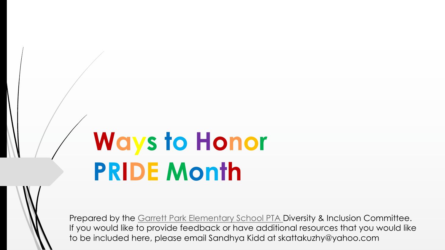# **Ways to Honor PRIDE Month**

Prepared by the Garrett Park Elementary School PTA If you would like to provide feedback or have additic to be included here, please email Sandhya Kidd at sk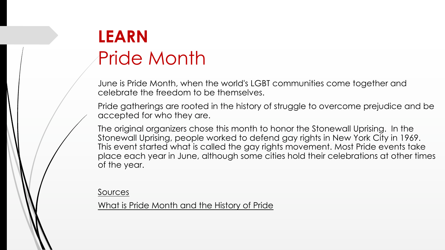## **LEARN** Pride Month

June is Pride Month, when the world's LGBT co [celebrate the freedom to be themselves.](https://www.them.us/story/the-complete-history-of-pride)

Pride gatherings are rooted in the history of struggle to accepted for who they are.

The original organizers chose this month to hor Stonewall Uprising, people worked to defend gay This event started what is called the gay rights place each year in June, although some cities of the year.

**Sources** 

What is Pride Month and the History of Pride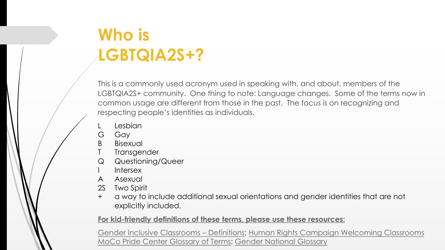### **Who is LGBTQIA2S+?**

This is a commonly used acronym used in speaking white LGBTQIA2S+ community. One thing to note: Langua common usage are different from those in the past. [respecting people's identities as individua](https://www.genderinclassrooms.com/definitions)[ls.](https://welcomingschools.org/resources/definitions-lgbtq-elementary-school) 

- L [Lesbian](https://www.mocopridecenter.org/glossary)
- G Gay
- B Bisexual
- T Transgender
- Q Questioning/Queer
- I Intersex
- A Asexual
- 2S Two Spirit
- + a way to include additional sexual orientations explicitly included.

For kid-friendly definitions of these terms, please use

Gender Inclusive Classrooms – Definitions; Human Rights Canada MoCo Pride Center Glossary of Terms; Gender National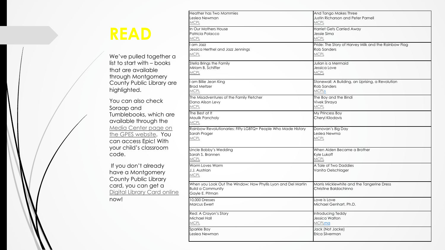#### **READ**

We've pulled together a list to start with – books that are available [through Montgomery](https://montgomerycountymd.gov/library/services/registration.html)  County Public Library are highlighted.

You can also check Soraap and Tumblebooks, which are available through the Media Center page on the GPES website. You can access Epic! With your child's classroom code.

If you don't already have a Montgomery County Public Library card, you can get a Digital Library Card online now!

Leslea Newman **[MCPL](https://www.montgomerycountymd.gov/library/)** In Our Mothers House Patricia Polacco **MCPL** [I am J](https://www.montgomerycountymd.gov/library/)azz Jessica Herthel and Jazz Jennings **MCPL** 

Heather has Two Mommies

Stella Brings the Family Miriam B. Schiffer **MCPL** 

I am Billie Jean King Brad Meltzer **MCPL** 

The Misadventures of the Family Fletcher Dana Alison Levy **[MCPL](https://www.montgomerycountymd.gov/library/)** 

The Best at It Maulik Pancholy **MCPL** 

Rainbow Revolutionaries: Fifty LGBTQ+ People Who M Sarah Prager MCPL

Uncle Bobby's Wedding Sarah S. Brannen **MCPL** 

Worm Loves Worm J.J. Austrian **MCPL** 

When you Look Out The Window: How Phyllis Lyon and Build a Community Gayle E. Pitman

10,000 Dresses Marcus Ewert

Red: A Crayon's Story Michael Hall **MCPL** 

Sparkle Boy Leslea Newman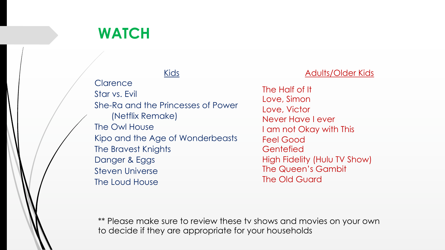#### **WATCH**

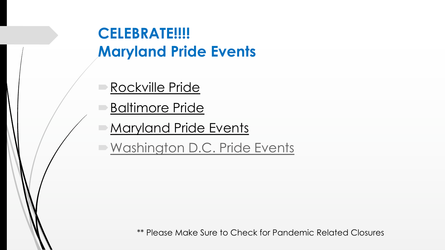#### **[CELEBRATE!!!!](https://www.wusa9.com/article/news/local/dc/pride-month-in-dc-list-of-events-to-celebrate/65-16fa809d-108a-483c-a931-f02ff18acf87) Maryland Pride Events**

- Rockville Pride
- Baltimore Pride
- Maryland Pride Events
- Mashington D.C. Pride Events

\*\* Please Make Sure to Check for Pa